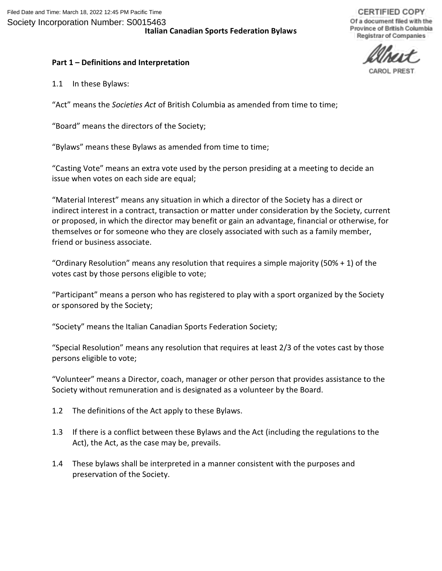**CERTIFIED COPY** Of a document filed with the Province of British Columbia Registrar of Companies

# **Part 1 – Definitions and Interpretation**

1.1 In these Bylaws:

"Act" means the *Societies Act* of British Columbia as amended from time to time;

"Board" means the directors of the Society;

"Bylaws" means these Bylaws as amended from time to time;

"Casting Vote" means an extra vote used by the person presiding at a meeting to decide an issue when votes on each side are equal;

"Material Interest" means any situation in which a director of the Society has a direct or indirect interest in a contract, transaction or matter under consideration by the Society, current or proposed, in which the director may benefit or gain an advantage, financial or otherwise, for themselves or for someone who they are closely associated with such as a family member, friend or business associate.

"Ordinary Resolution" means any resolution that requires a simple majority (50% + 1) of the votes cast by those persons eligible to vote;

"Participant" means a person who has registered to play with a sport organized by the Society or sponsored by the Society;

"Society" means the Italian Canadian Sports Federation Society;

"Special Resolution" means any resolution that requires at least 2/3 of the votes cast by those persons eligible to vote;

"Volunteer" means a Director, coach, manager or other person that provides assistance to the Society without remuneration and is designated as a volunteer by the Board.

- 1.2 The definitions of the Act apply to these Bylaws.
- 1.3 If there is a conflict between these Bylaws and the Act (including the regulations to the Act), the Act, as the case may be, prevails.
- 1.4 These bylaws shall be interpreted in a manner consistent with the purposes and preservation of the Society.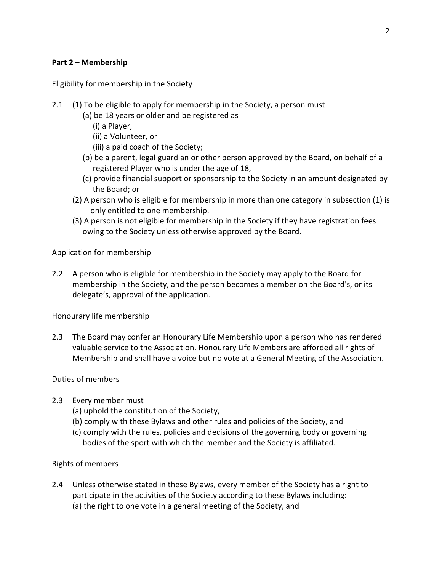#### **Part 2 – Membership**

Eligibility for membership in the Society

- 2.1 (1) To be eligible to apply for membership in the Society, a person must
	- (a) be 18 years or older and be registered as
		- (i) a Player,
		- (ii) a Volunteer, or
		- (iii) a paid coach of the Society;
	- (b) be a parent, legal guardian or other person approved by the Board, on behalf of a registered Player who is under the age of 18,
	- (c) provide financial support or sponsorship to the Society in an amount designated by the Board; or
	- (2) A person who is eligible for membership in more than one category in subsection (1) is only entitled to one membership.
	- (3) A person is not eligible for membership in the Society if they have registration fees owing to the Society unless otherwise approved by the Board.

Application for membership

2.2 A person who is eligible for membership in the Society may apply to the Board for membership in the Society, and the person becomes a member on the Board's, or its delegate's, approval of the application.

Honourary life membership

2.3 The Board may confer an Honourary Life Membership upon a person who has rendered valuable service to the Association. Honourary Life Members are afforded all rights of Membership and shall have a voice but no vote at a General Meeting of the Association.

#### Duties of members

- 2.3 Every member must
	- (a) uphold the constitution of the Society,
	- (b) comply with these Bylaws and other rules and policies of the Society, and
	- (c) comply with the rules, policies and decisions of the governing body or governing bodies of the sport with which the member and the Society is affiliated.

## Rights of members

2.4 Unless otherwise stated in these Bylaws, every member of the Society has a right to participate in the activities of the Society according to these Bylaws including: (a) the right to one vote in a general meeting of the Society, and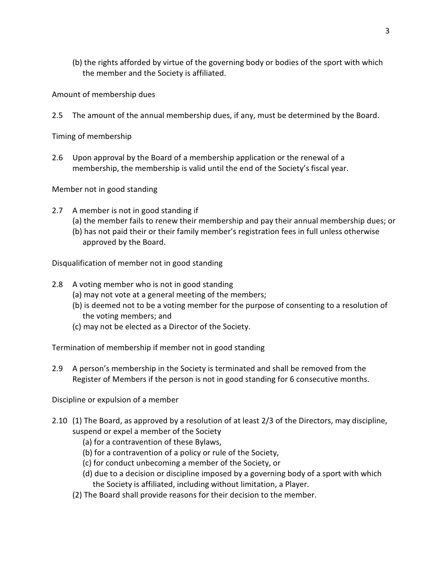(b) the rights afforded by virtue of the governing body or bodies of the sport with which the member and the Society is affiliated.

Amount of membership dues

2.5 The amount of the annual membership dues, if any, must be determined by the Board.

Timing of membership

2.6 Upon approval by the Board of a membership application or the renewal of a membership, the membership is valid until the end of the Society's fiscal year.

Member not in good standing

- 2.7 A member is not in good standing if
	- (a) the member fails to renew their membership and pay their annual membership dues; or
	- (b) has not paid their or their family member's registration fees in full unless otherwise approved by the Board.

Disqualification of member not in good standing

- 2.8 A voting member who is not in good standing
	- (a) may not vote at a general meeting of the members;
	- (b) is deemed not to be a voting member for the purpose of consenting to a resolution of the voting members; and
	- (c) may not be elected as a Director of the Society.

Termination of membership if member not in good standing

2.9 A person's membership in the Society is terminated and shall be removed from the Register of Members if the person is not in good standing for 6 consecutive months.

Discipline or expulsion of a member

- 2.10 (1) The Board, as approved by a resolution of at least 2/3 of the Directors, may discipline, suspend or expel a member of the Society
	- (a) for a contravention of these Bylaws,
	- (b) for a contravention of a policy or rule of the Society,
	- (c) for conduct unbecoming a member of the Society, or
	- (d) due to a decision or discipline imposed by a governing body of a sport with which the Society is affiliated, including without limitation, a Player.
	- (2) The Board shall provide reasons for their decision to the member.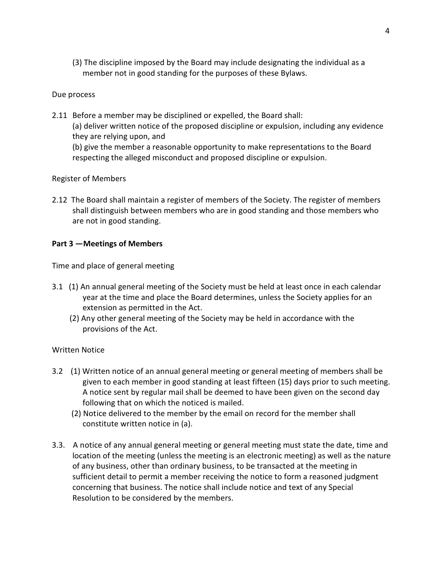(3) The discipline imposed by the Board may include designating the individual as a member not in good standing for the purposes of these Bylaws.

#### Due process

2.11 Before a member may be disciplined or expelled, the Board shall: (a) deliver written notice of the proposed discipline or expulsion, including any evidence they are relying upon, and (b) give the member a reasonable opportunity to make representations to the Board respecting the alleged misconduct and proposed discipline or expulsion.

### Register of Members

2.12 The Board shall maintain a register of members of the Society. The register of members shall distinguish between members who are in good standing and those members who are not in good standing.

## **Part 3 —Meetings of Members**

Time and place of general meeting

- 3.1 (1) An annual general meeting of the Society must be held at least once in each calendar year at the time and place the Board determines, unless the Society applies for an extension as permitted in the Act.
	- (2) Any other general meeting of the Society may be held in accordance with the provisions of the Act.

#### Written Notice

- 3.2 (1) Written notice of an annual general meeting or general meeting of members shall be given to each member in good standing at least fifteen (15) days prior to such meeting. A notice sent by regular mail shall be deemed to have been given on the second day following that on which the noticed is mailed.
	- (2) Notice delivered to the member by the email on record for the member shall constitute written notice in (a).
- 3.3. A notice of any annual general meeting or general meeting must state the date, time and location of the meeting (unless the meeting is an electronic meeting) as well as the nature of any business, other than ordinary business, to be transacted at the meeting in sufficient detail to permit a member receiving the notice to form a reasoned judgment concerning that business. The notice shall include notice and text of any Special Resolution to be considered by the members.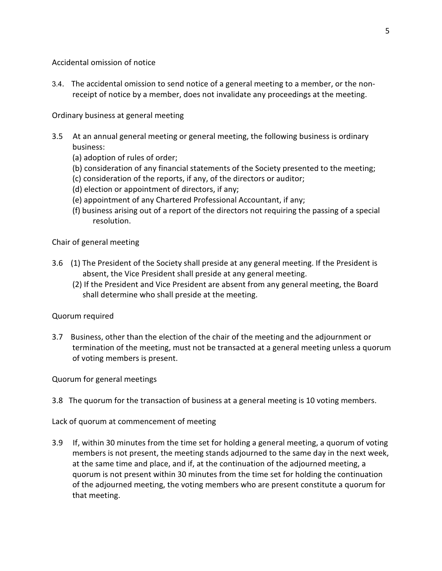Accidental omission of notice

3.4. The accidental omission to send notice of a general meeting to a member, or the nonreceipt of notice by a member, does not invalidate any proceedings at the meeting.

Ordinary business at general meeting

- 3.5 At an annual general meeting or general meeting, the following business is ordinary business:
	- (a) adoption of rules of order;
	- (b) consideration of any financial statements of the Society presented to the meeting;
	- (c) consideration of the reports, if any, of the directors or auditor;
	- (d) election or appointment of directors, if any;
	- (e) appointment of any Chartered Professional Accountant, if any;
	- (f) business arising out of a report of the directors not requiring the passing of a special resolution.

Chair of general meeting

- 3.6 (1) The President of the Society shall preside at any general meeting. If the President is absent, the Vice President shall preside at any general meeting.
	- (2) If the President and Vice President are absent from any general meeting, the Board shall determine who shall preside at the meeting.

Quorum required

3.7 Business, other than the election of the chair of the meeting and the adjournment or termination of the meeting, must not be transacted at a general meeting unless a quorum of voting members is present.

Quorum for general meetings

3.8 The quorum for the transaction of business at a general meeting is 10 voting members.

Lack of quorum at commencement of meeting

3.9 If, within 30 minutes from the time set for holding a general meeting, a quorum of voting members is not present, the meeting stands adjourned to the same day in the next week, at the same time and place, and if, at the continuation of the adjourned meeting, a quorum is not present within 30 minutes from the time set for holding the continuation of the adjourned meeting, the voting members who are present constitute a quorum for that meeting.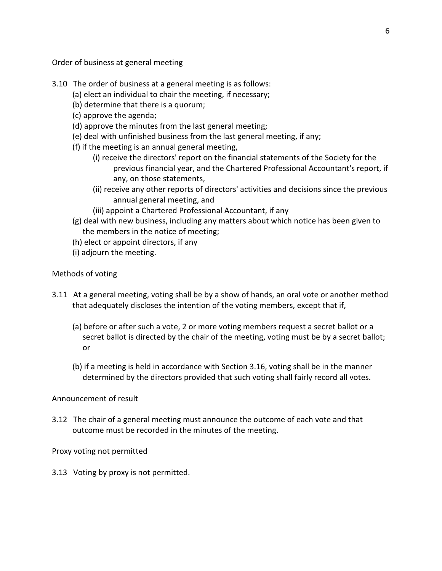Order of business at general meeting

- 3.10 The order of business at a general meeting is as follows:
	- (a) elect an individual to chair the meeting, if necessary;
	- (b) determine that there is a quorum;
	- (c) approve the agenda;
	- (d) approve the minutes from the last general meeting;
	- (e) deal with unfinished business from the last general meeting, if any;
	- (f) if the meeting is an annual general meeting,
		- (i) receive the directors' report on the financial statements of the Society for the previous financial year, and the Chartered Professional Accountant's report, if any, on those statements,
		- (ii) receive any other reports of directors' activities and decisions since the previous annual general meeting, and
		- (iii) appoint a Chartered Professional Accountant, if any
	- (g) deal with new business, including any matters about which notice has been given to the members in the notice of meeting;
	- (h) elect or appoint directors, if any
	- (i) adjourn the meeting.

#### Methods of voting

- 3.11 At a general meeting, voting shall be by a show of hands, an oral vote or another method that adequately discloses the intention of the voting members, except that if,
	- (a) before or after such a vote, 2 or more voting members request a secret ballot or a secret ballot is directed by the chair of the meeting, voting must be by a secret ballot; or
	- (b) if a meeting is held in accordance with Section 3.16, voting shall be in the manner determined by the directors provided that such voting shall fairly record all votes.

#### Announcement of result

3.12 The chair of a general meeting must announce the outcome of each vote and that outcome must be recorded in the minutes of the meeting.

Proxy voting not permitted

3.13 Voting by proxy is not permitted.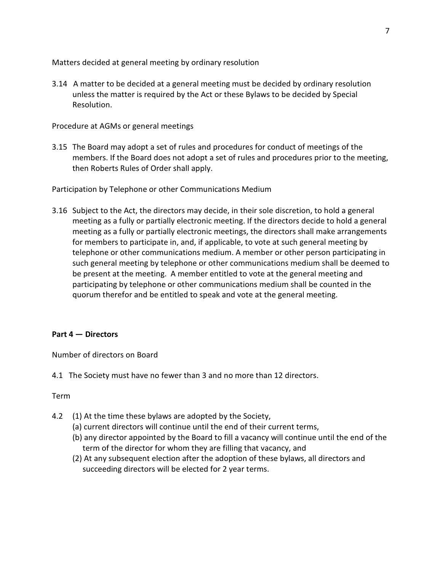Matters decided at general meeting by ordinary resolution

3.14 A matter to be decided at a general meeting must be decided by ordinary resolution unless the matter is required by the Act or these Bylaws to be decided by Special Resolution.

Procedure at AGMs or general meetings

3.15 The Board may adopt a set of rules and procedures for conduct of meetings of the members. If the Board does not adopt a set of rules and procedures prior to the meeting, then Roberts Rules of Order shall apply.

Participation by Telephone or other Communications Medium

3.16 Subject to the Act, the directors may decide, in their sole discretion, to hold a general meeting as a fully or partially electronic meeting. If the directors decide to hold a general meeting as a fully or partially electronic meetings, the directors shall make arrangements for members to participate in, and, if applicable, to vote at such general meeting by telephone or other communications medium. A member or other person participating in such general meeting by telephone or other communications medium shall be deemed to be present at the meeting. A member entitled to vote at the general meeting and participating by telephone or other communications medium shall be counted in the quorum therefor and be entitled to speak and vote at the general meeting.

## **Part 4 — Directors**

Number of directors on Board

4.1 The Society must have no fewer than 3 and no more than 12 directors.

#### Term

- 4.2 (1) At the time these bylaws are adopted by the Society,
	- (a) current directors will continue until the end of their current terms,
	- (b) any director appointed by the Board to fill a vacancy will continue until the end of the term of the director for whom they are filling that vacancy, and
	- (2) At any subsequent election after the adoption of these bylaws, all directors and succeeding directors will be elected for 2 year terms.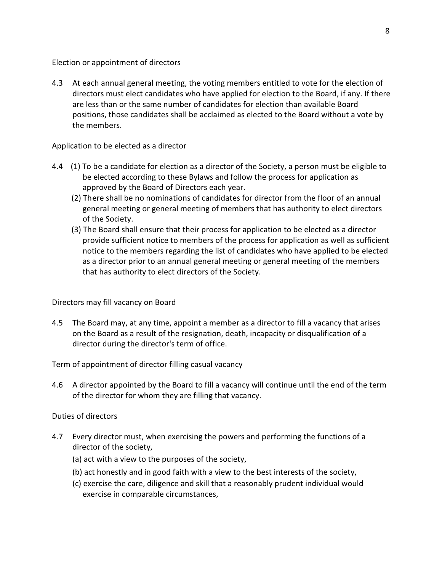Election or appointment of directors

4.3 At each annual general meeting, the voting members entitled to vote for the election of directors must elect candidates who have applied for election to the Board, if any. If there are less than or the same number of candidates for election than available Board positions, those candidates shall be acclaimed as elected to the Board without a vote by the members.

#### Application to be elected as a director

- 4.4 (1) To be a candidate for election as a director of the Society, a person must be eligible to be elected according to these Bylaws and follow the process for application as approved by the Board of Directors each year.
	- (2) There shall be no nominations of candidates for director from the floor of an annual general meeting or general meeting of members that has authority to elect directors of the Society.
	- (3) The Board shall ensure that their process for application to be elected as a director provide sufficient notice to members of the process for application as well as sufficient notice to the members regarding the list of candidates who have applied to be elected as a director prior to an annual general meeting or general meeting of the members that has authority to elect directors of the Society.

Directors may fill vacancy on Board

4.5 The Board may, at any time, appoint a member as a director to fill a vacancy that arises on the Board as a result of the resignation, death, incapacity or disqualification of a director during the director's term of office.

Term of appointment of director filling casual vacancy

4.6 A director appointed by the Board to fill a vacancy will continue until the end of the term of the director for whom they are filling that vacancy.

Duties of directors

- 4.7 Every director must, when exercising the powers and performing the functions of a director of the society,
	- (a) act with a view to the purposes of the society,
	- (b) act honestly and in good faith with a view to the best interests of the society,
	- (c) exercise the care, diligence and skill that a reasonably prudent individual would exercise in comparable circumstances,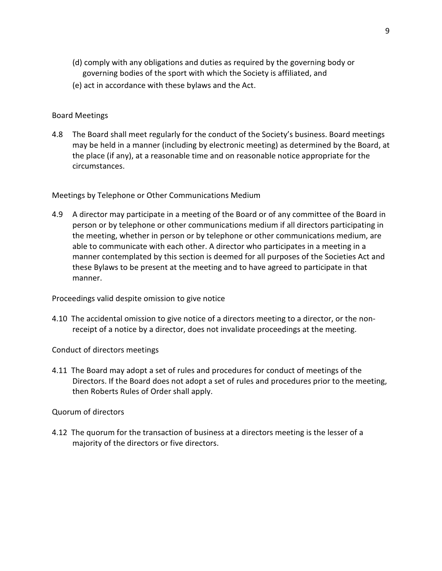- (d) comply with any obligations and duties as required by the governing body or governing bodies of the sport with which the Society is affiliated, and
- (e) act in accordance with these bylaws and the Act.

#### Board Meetings

4.8 The Board shall meet regularly for the conduct of the Society's business. Board meetings may be held in a manner (including by electronic meeting) as determined by the Board, at the place (if any), at a reasonable time and on reasonable notice appropriate for the circumstances.

Meetings by Telephone or Other Communications Medium

4.9 A director may participate in a meeting of the Board or of any committee of the Board in person or by telephone or other communications medium if all directors participating in the meeting, whether in person or by telephone or other communications medium, are able to communicate with each other. A director who participates in a meeting in a manner contemplated by this section is deemed for all purposes of the Societies Act and these Bylaws to be present at the meeting and to have agreed to participate in that manner.

Proceedings valid despite omission to give notice

4.10 The accidental omission to give notice of a directors meeting to a director, or the nonreceipt of a notice by a director, does not invalidate proceedings at the meeting.

Conduct of directors meetings

4.11 The Board may adopt a set of rules and procedures for conduct of meetings of the Directors. If the Board does not adopt a set of rules and procedures prior to the meeting, then Roberts Rules of Order shall apply.

Quorum of directors

4.12 The quorum for the transaction of business at a directors meeting is the lesser of a majority of the directors or five directors.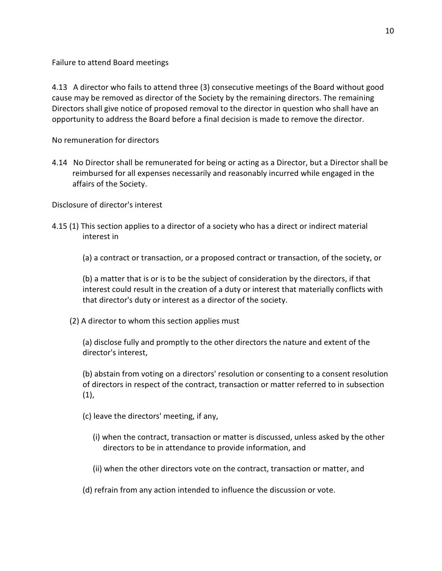Failure to attend Board meetings

4.13 A director who fails to attend three (3) consecutive meetings of the Board without good cause may be removed as director of the Society by the remaining directors. The remaining Directors shall give notice of proposed removal to the director in question who shall have an opportunity to address the Board before a final decision is made to remove the director.

No remuneration for directors

4.14 No Director shall be remunerated for being or acting as a Director, but a Director shall be reimbursed for all expenses necessarily and reasonably incurred while engaged in the affairs of the Society.

Disclosure of director's interest

- 4.15 (1) This section applies to a director of a society who has a direct or indirect material interest in
	- (a) a contract or transaction, or a proposed contract or transaction, of the society, or

(b) a matter that is or is to be the subject of consideration by the directors, if that interest could result in the creation of a duty or interest that materially conflicts with that director's duty or interest as a director of the society.

(2) A director to whom this section applies must

(a) disclose fully and promptly to the other directors the nature and extent of the director's interest,

(b) abstain from voting on a directors' resolution or consenting to a consent resolution of directors in respect of the contract, transaction or matter referred to in subsection  $(1)$ ,

- (c) leave the directors' meeting, if any,
	- (i) when the contract, transaction or matter is discussed, unless asked by the other directors to be in attendance to provide information, and
	- (ii) when the other directors vote on the contract, transaction or matter, and
- (d) refrain from any action intended to influence the discussion or vote.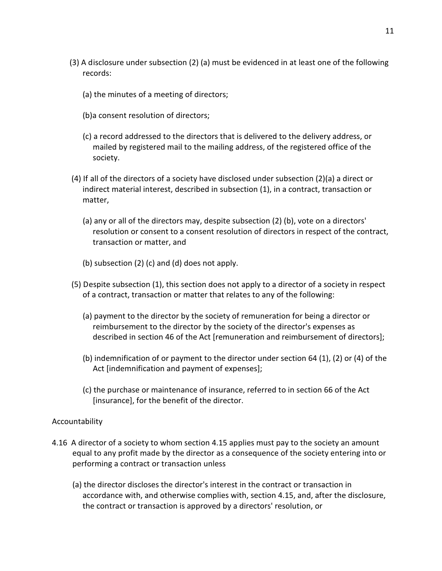- (3) A disclosure under subsection (2) (a) must be evidenced in at least one of the following records:
	- (a) the minutes of a meeting of directors;
	- (b)a consent resolution of directors;
	- (c) a record addressed to the directors that is delivered to the delivery address, or mailed by registered mail to the mailing address, of the registered office of the society.
- (4) If all of the directors of a society have disclosed under subsection (2)(a) a direct or indirect material interest, described in subsection (1), in a contract, transaction or matter,
	- (a) any or all of the directors may, despite subsection (2) (b), vote on a directors' resolution or consent to a consent resolution of directors in respect of the contract, transaction or matter, and
	- (b) subsection (2) (c) and (d) does not apply.
- (5) Despite subsection (1), this section does not apply to a director of a society in respect of a contract, transaction or matter that relates to any of the following:
	- (a) payment to the director by the society of remuneration for being a director or reimbursement to the director by the society of the director's expenses as described in section 46 of the Act [remuneration and reimbursement of directors];
	- (b) indemnification of or payment to the director under section 64 (1), (2) or (4) of the Act [indemnification and payment of expenses];
	- (c) the purchase or maintenance of insurance, referred to in section 66 of the Act [insurance], for the benefit of the director.

#### Accountability

- 4.16 A director of a society to whom section 4.15 applies must pay to the society an amount equal to any profit made by the director as a consequence of the society entering into or performing a contract or transaction unless
	- (a) the director discloses the director's interest in the contract or transaction in accordance with, and otherwise complies with, section 4.15, and, after the disclosure, the contract or transaction is approved by a directors' resolution, or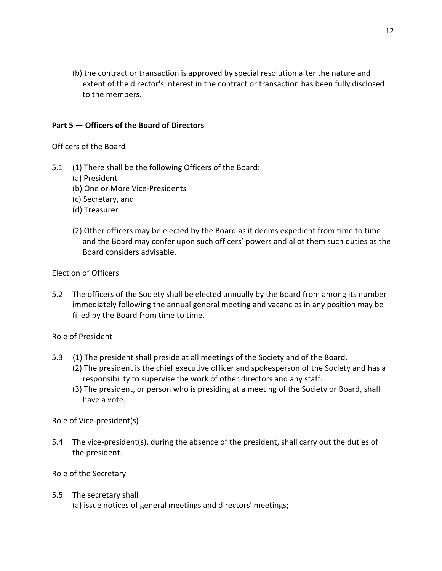(b) the contract or transaction is approved by special resolution after the nature and extent of the director's interest in the contract or transaction has been fully disclosed to the members.

## **Part 5 — Officers of the Board of Directors**

Officers of the Board

- 5.1 (1) There shall be the following Officers of the Board:
	- (a) President
	- (b) One or More Vice-Presidents
	- (c) Secretary, and
	- (d) Treasurer
	- (2) Other officers may be elected by the Board as it deems expedient from time to time and the Board may confer upon such officers' powers and allot them such duties as the Board considers advisable.

Election of Officers

5.2 The officers of the Society shall be elected annually by the Board from among its number immediately following the annual general meeting and vacancies in any position may be filled by the Board from time to time.

Role of President

- 5.3 (1) The president shall preside at all meetings of the Society and of the Board.
	- (2) The president is the chief executive officer and spokesperson of the Society and has a responsibility to supervise the work of other directors and any staff.
	- (3) The president, or person who is presiding at a meeting of the Society or Board, shall have a vote.

Role of Vice-president(s)

5.4 The vice-president(s), during the absence of the president, shall carry out the duties of the president.

Role of the Secretary

#### 5.5 The secretary shall

(a) issue notices of general meetings and directors' meetings;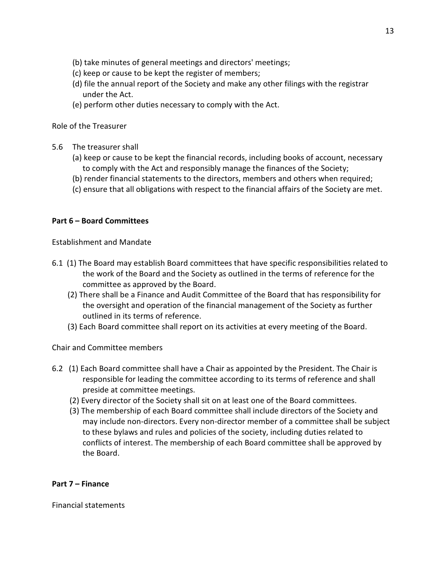- (b) take minutes of general meetings and directors' meetings;
- (c) keep or cause to be kept the register of members;
- (d) file the annual report of the Society and make any other filings with the registrar under the Act.
- (e) perform other duties necessary to comply with the Act.

Role of the Treasurer

- 5.6 The treasurer shall
	- (a) keep or cause to be kept the financial records, including books of account, necessary to comply with the Act and responsibly manage the finances of the Society;
	- (b) render financial statements to the directors, members and others when required;
	- (c) ensure that all obligations with respect to the financial affairs of the Society are met.

#### **Part 6 – Board Committees**

Establishment and Mandate

- 6.1 (1) The Board may establish Board committees that have specific responsibilities related to the work of the Board and the Society as outlined in the terms of reference for the committee as approved by the Board.
	- (2) There shall be a Finance and Audit Committee of the Board that has responsibility for the oversight and operation of the financial management of the Society as further outlined in its terms of reference.
	- (3) Each Board committee shall report on its activities at every meeting of the Board.

Chair and Committee members

- 6.2 (1) Each Board committee shall have a Chair as appointed by the President. The Chair is responsible for leading the committee according to its terms of reference and shall preside at committee meetings.
	- (2) Every director of the Society shall sit on at least one of the Board committees.
	- (3) The membership of each Board committee shall include directors of the Society and may include non-directors. Every non-director member of a committee shall be subject to these bylaws and rules and policies of the society, including duties related to conflicts of interest. The membership of each Board committee shall be approved by the Board.

#### **Part 7 – Finance**

Financial statements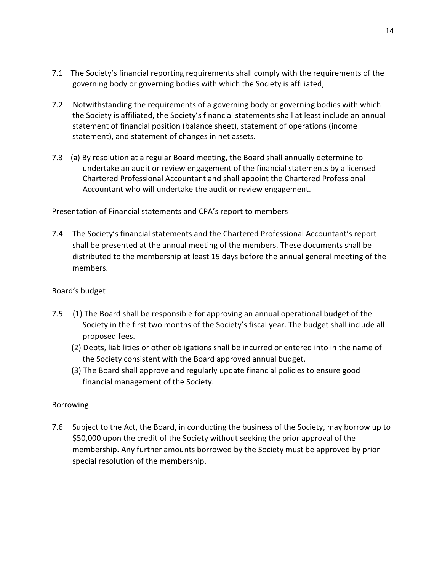- 7.1 The Society's financial reporting requirements shall comply with the requirements of the governing body or governing bodies with which the Society is affiliated;
- 7.2 Notwithstanding the requirements of a governing body or governing bodies with which the Society is affiliated, the Society's financial statements shall at least include an annual statement of financial position (balance sheet), statement of operations (income statement), and statement of changes in net assets.
- 7.3 (a) By resolution at a regular Board meeting, the Board shall annually determine to undertake an audit or review engagement of the financial statements by a licensed Chartered Professional Accountant and shall appoint the Chartered Professional Accountant who will undertake the audit or review engagement.

## Presentation of Financial statements and CPA's report to members

7.4 The Society's financial statements and the Chartered Professional Accountant's report shall be presented at the annual meeting of the members. These documents shall be distributed to the membership at least 15 days before the annual general meeting of the members.

#### Board's budget

- 7.5 (1) The Board shall be responsible for approving an annual operational budget of the Society in the first two months of the Society's fiscal year. The budget shall include all proposed fees.
	- (2) Debts, liabilities or other obligations shall be incurred or entered into in the name of the Society consistent with the Board approved annual budget.
	- (3) The Board shall approve and regularly update financial policies to ensure good financial management of the Society.

#### Borrowing

7.6 Subject to the Act, the Board, in conducting the business of the Society, may borrow up to \$50,000 upon the credit of the Society without seeking the prior approval of the membership. Any further amounts borrowed by the Society must be approved by prior special resolution of the membership.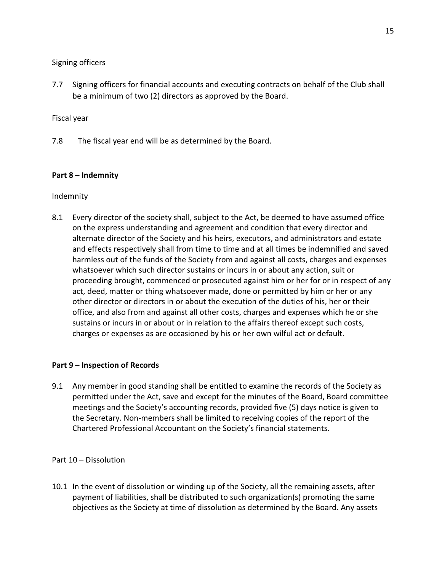Signing officers

7.7 Signing officers for financial accounts and executing contracts on behalf of the Club shall be a minimum of two (2) directors as approved by the Board.

Fiscal year

7.8 The fiscal year end will be as determined by the Board.

### **Part 8 – Indemnity**

Indemnity

8.1 Every director of the society shall, subject to the Act, be deemed to have assumed office on the express understanding and agreement and condition that every director and alternate director of the Society and his heirs, executors, and administrators and estate and effects respectively shall from time to time and at all times be indemnified and saved harmless out of the funds of the Society from and against all costs, charges and expenses whatsoever which such director sustains or incurs in or about any action, suit or proceeding brought, commenced or prosecuted against him or her for or in respect of any act, deed, matter or thing whatsoever made, done or permitted by him or her or any other director or directors in or about the execution of the duties of his, her or their office, and also from and against all other costs, charges and expenses which he or she sustains or incurs in or about or in relation to the affairs thereof except such costs, charges or expenses as are occasioned by his or her own wilful act or default.

## **Part 9 – Inspection of Records**

9.1 Any member in good standing shall be entitled to examine the records of the Society as permitted under the Act, save and except for the minutes of the Board, Board committee meetings and the Society's accounting records, provided five (5) days notice is given to the Secretary. Non-members shall be limited to receiving copies of the report of the Chartered Professional Accountant on the Society's financial statements.

Part 10 – Dissolution

10.1 In the event of dissolution or winding up of the Society, all the remaining assets, after payment of liabilities, shall be distributed to such organization(s) promoting the same objectives as the Society at time of dissolution as determined by the Board. Any assets